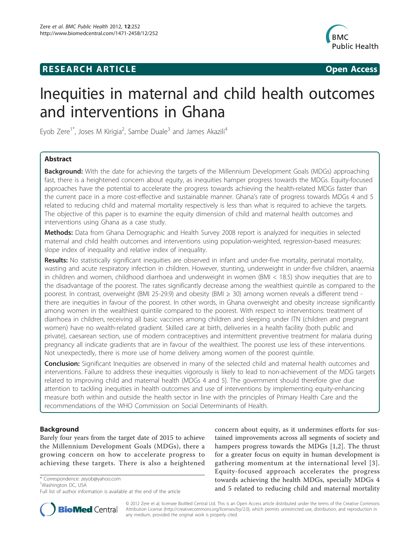## **RESEARCH ARTICLE Example 2018 12:00 Open Access**



# Inequities in maternal and child health outcomes and interventions in Ghana

Eyob Zere<sup>1\*</sup>, Joses M Kirigia<sup>2</sup>, Sambe Duale<sup>3</sup> and James Akazili<sup>4</sup>

## Abstract

**Background:** With the date for achieving the targets of the Millennium Development Goals (MDGs) approaching fast, there is a heightened concern about equity, as inequities hamper progress towards the MDGs. Equity-focused approaches have the potential to accelerate the progress towards achieving the health-related MDGs faster than the current pace in a more cost-effective and sustainable manner. Ghana's rate of progress towards MDGs 4 and 5 related to reducing child and maternal mortality respectively is less than what is required to achieve the targets. The objective of this paper is to examine the equity dimension of child and maternal health outcomes and interventions using Ghana as a case study.

Methods: Data from Ghana Demographic and Health Survey 2008 report is analyzed for inequities in selected maternal and child health outcomes and interventions using population-weighted, regression-based measures: slope index of inequality and relative index of inequality.

Results: No statistically significant inequities are observed in infant and under-five mortality, perinatal mortality, wasting and acute respiratory infection in children. However, stunting, underweight in under-five children, anaemia in children and women, childhood diarrhoea and underweight in women (BMI < 18.5) show inequities that are to the disadvantage of the poorest. The rates significantly decrease among the wealthiest quintile as compared to the poorest. In contrast, overweight (BMI 25-29.9) and obesity (BMI ≥ 30) among women reveals a different trend there are inequities in favour of the poorest. In other words, in Ghana overweight and obesity increase significantly among women in the wealthiest quintile compared to the poorest. With respect to interventions: treatment of diarrhoea in children, receiving all basic vaccines among children and sleeping under ITN (children and pregnant women) have no wealth-related gradient. Skilled care at birth, deliveries in a health facility (both public and private), caesarean section, use of modern contraceptives and intermittent preventive treatment for malaria during pregnancy all indicate gradients that are in favour of the wealthiest. The poorest use less of these interventions. Not unexpectedly, there is more use of home delivery among women of the poorest quintile.

**Conclusion:** Significant Inequities are observed in many of the selected child and maternal health outcomes and interventions. Failure to address these inequities vigorously is likely to lead to non-achievement of the MDG targets related to improving child and maternal health (MDGs 4 and 5). The government should therefore give due attention to tackling inequities in health outcomes and use of interventions by implementing equity-enhancing measure both within and outside the health sector in line with the principles of Primary Health Care and the recommendations of the WHO Commission on Social Determinants of Health.

## Background

Barely four years from the target date of 2015 to achieve the Millennium Development Goals (MDGs), there a growing concern on how to accelerate progress to achieving these targets. There is also a heightened

\* Correspondence: [zeyob@yahoo.com](mailto:zeyob@yahoo.com)

Full list of author information is available at the end of the article





© 2012 Zere et al; licensee BioMed Central Ltd. This is an Open Access article distributed under the terms of the Creative Commons Attribution License [\(http://creativecommons.org/licenses/by/2.0](http://creativecommons.org/licenses/by/2.0)), which permits unrestricted use, distribution, and reproduction in any medium, provided the original work is properly cited.

<sup>1</sup> Washington DC, USA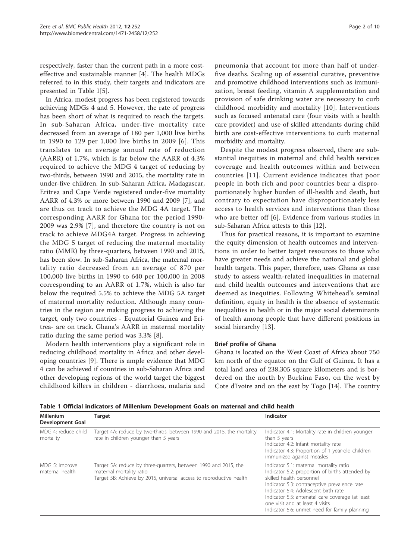respectively, faster than the current path in a more costeffective and sustainable manner [\[4](#page-8-0)]. The health MDGs referred to in this study, their targets and indicators are presented in Table 1[[5\]](#page-8-0).

In Africa, modest progress has been registered towards achieving MDGs 4 and 5. However, the rate of progress has been short of what is required to reach the targets. In sub-Saharan Africa, under-five mortality rate decreased from an average of 180 per 1,000 live births in 1990 to 129 per 1,000 live births in 2009 [[6\]](#page-8-0). This translates to an average annual rate of reduction (AARR) of 1.7%, which is far below the AARR of 4.3% required to achieve the MDG 4 target of reducing by two-thirds, between 1990 and 2015, the mortality rate in under-five children. In sub-Saharan Africa, Madagascar, Eritrea and Cape Verde registered under-five mortality AARR of 4.3% or more between 1990 and 2009 [[7\]](#page-9-0), and are thus on track to achieve the MDG 4A target. The corresponding AARR for Ghana for the period 1990- 2009 was 2.9% [[7](#page-9-0)], and therefore the country is not on track to achieve MDG4A target. Progress in achieving the MDG 5 target of reducing the maternal mortality ratio (MMR) by three-quarters, between 1990 and 2015, has been slow. In sub-Saharan Africa, the maternal mortality ratio decreased from an average of 870 per 100,000 live births in 1990 to 640 per 100,000 in 2008 corresponding to an AARR of 1.7%, which is also far below the required 5.5% to achieve the MDG 5A target of maternal mortality reduction. Although many countries in the region are making progress to achieving the target, only two countries - Equatorial Guinea and Eritrea- are on track. Ghana's AARR in maternal mortality ratio during the same period was 3.3% [\[8](#page-9-0)].

Modern health interventions play a significant role in reducing childhood mortality in Africa and other developing countries [\[9](#page-9-0)]. There is ample evidence that MDG 4 can be achieved if countries in sub-Saharan Africa and other developing regions of the world target the biggest childhood killers in children - diarrhoea, malaria and

pneumonia that account for more than half of underfive deaths. Scaling up of essential curative, preventive and promotive childhood interventions such as immunization, breast feeding, vitamin A supplementation and provision of safe drinking water are necessary to curb childhood morbidity and mortality [[10](#page-9-0)]. Interventions such as focused antenatal care (four visits with a health care provider) and use of skilled attendants during child birth are cost-effective interventions to curb maternal morbidity and mortality.

Despite the modest progress observed, there are substantial inequities in maternal and child health services coverage and health outcomes within and between countries [[11\]](#page-9-0). Current evidence indicates that poor people in both rich and poor countries bear a disproportionately higher burden of ill-health and death, but contrary to expectation have disproportionately less access to health services and interventions than those who are better off [\[6](#page-8-0)]. Evidence from various studies in sub-Saharan Africa attests to this [[12](#page-9-0)].

Thus for practical reasons, it is important to examine the equity dimension of health outcomes and interventions in order to better target resources to those who have greater needs and achieve the national and global health targets. This paper, therefore, uses Ghana as case study to assess wealth-related inequalities in maternal and child health outcomes and interventions that are deemed as inequities. Following Whitehead's seminal definition, equity in health is the absence of systematic inequalities in health or in the major social determinants of health among people that have different positions in social hierarchy [[13\]](#page-9-0).

## Brief profile of Ghana

Ghana is located on the West Coast of Africa about 750 km north of the equator on the Gulf of Guinea. It has a total land area of 238,305 square kilometers and is bordered on the north by Burkina Faso, on the west by Cote d'Ivoire and on the east by Togo [\[14\]](#page-9-0). The country

| <b>Millenium</b><br>Development Goal | Target                                                                                                                                                             | Indicator                                                                                                                                                                                                                                                                                                                                              |
|--------------------------------------|--------------------------------------------------------------------------------------------------------------------------------------------------------------------|--------------------------------------------------------------------------------------------------------------------------------------------------------------------------------------------------------------------------------------------------------------------------------------------------------------------------------------------------------|
| MDG 4: reduce child<br>mortality     | Target 4A: reduce by two-thirds, between 1990 and 2015, the mortality<br>rate in children younger than 5 years                                                     | Indicator 4.1: Mortality rate in children younger<br>than 5 years<br>Indicator 4.2: Infant mortality rate<br>Indicator 4.3: Proportion of 1 year-old children<br>immunized against measles                                                                                                                                                             |
| MDG 5: Improve<br>maternal health    | Target 5A: reduce by three-guarters, between 1990 and 2015, the<br>maternal mortality ratio<br>Target 5B: Achieve by 2015, universal access to reproductive health | Indicator 5.1: maternal mortality ratio<br>Indicator 5.2: proportion of births attended by<br>skilled health personnel<br>Indicator 5.3: contraceptive prevalence rate<br>Indicator 5.4: Adolescent birth rate<br>Indicator 5.5: antenatal care coverage (at least<br>one visit and at least 4 visits<br>Indicator 5.6: unmet need for family planning |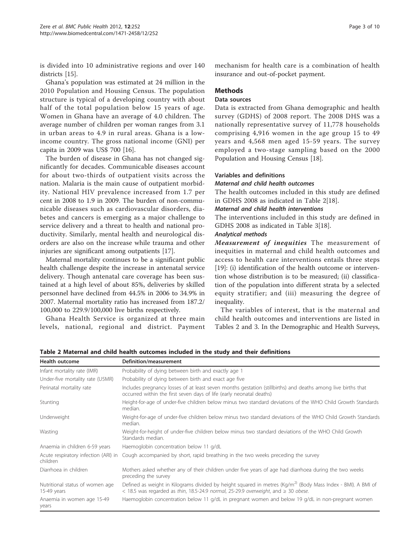is divided into 10 administrative regions and over 140 districts [\[15\]](#page-9-0).

Ghana's population was estimated at 24 million in the 2010 Population and Housing Census. The population structure is typical of a developing country with about half of the total population below 15 years of age. Women in Ghana have an average of 4.0 children. The average number of children per woman ranges from 3.1 in urban areas to 4.9 in rural areas. Ghana is a lowincome country. The gross national income (GNI) per capita in 2009 was US\$ 700 [\[16](#page-9-0)].

The burden of disease in Ghana has not changed significantly for decades. Communicable diseases account for about two-thirds of outpatient visits across the nation. Malaria is the main cause of outpatient morbidity. National HIV prevalence increased from 1.7 per cent in 2008 to 1.9 in 2009. The burden of non-communicable diseases such as cardiovascular disorders, diabetes and cancers is emerging as a major challenge to service delivery and a threat to health and national productivity. Similarly, mental health and neurological disorders are also on the increase while trauma and other injuries are significant among outpatients [\[17](#page-9-0)].

Maternal mortality continues to be a significant public health challenge despite the increase in antenatal service delivery. Though antenatal care coverage has been sustained at a high level of about 85%, deliveries by skilled personnel have declined from 44.5% in 2006 to 34.9% in 2007. Maternal mortality ratio has increased from 187.2/ 100,000 to 229.9/100,000 live births respectively.

Ghana Health Service is organized at three main levels, national, regional and district. Payment

mechanism for health care is a combination of health insurance and out-of-pocket payment.

## Methods

## Data sources

Data is extracted from Ghana demographic and health survey (GDHS) of 2008 report. The 2008 DHS was a nationally representative survey of 11,778 households comprising 4,916 women in the age group 15 to 49 years and 4,568 men aged 15-59 years. The survey employed a two-stage sampling based on the 2000 Population and Housing Census [\[18](#page-9-0)].

## Variables and definitions

Maternal and child health outcomes

The health outcomes included in this study are defined in GDHS 2008 as indicated in Table 2[[18\]](#page-9-0).

## Maternal and child health interventions

The interventions included in this study are defined in GDHS 2008 as indicated in Table [3\[](#page-3-0)[18](#page-9-0)].

## Analytical methods

Measurement of inequities The measurement of inequities in maternal and child health outcomes and access to health care interventions entails three steps [[19\]](#page-9-0): (i) identification of the health outcome or intervention whose distribution is to be measured; (ii) classification of the population into different strata by a selected equity stratifier; and (iii) measuring the degree of inequality.

The variables of interest, that is the maternal and child health outcomes and interventions are listed in Tables 2 and [3.](#page-3-0) In the Demographic and Health Surveys,

| <b>Health outcome</b>                            | Definition/measurement                                                                                                                                                                                              |
|--------------------------------------------------|---------------------------------------------------------------------------------------------------------------------------------------------------------------------------------------------------------------------|
| Infant mortality rate (IMR)                      | Probability of dying between birth and exactly age 1                                                                                                                                                                |
| Under-five mortality rate (U5MR)                 | Probability of dying between birth and exact age five                                                                                                                                                               |
| Perinatal mortality rate                         | Includes pregnancy losses of at least seven months gestation (stillbirths) and deaths among live births that<br>occurred within the first seven days of life (early neonatal deaths)                                |
| Stunting                                         | Height-for-age of under-five children below minus two standard deviations of the WHO Child Growth Standards<br>median.                                                                                              |
| Underweight                                      | Weight-for-age of under-five children below minus two standard deviations of the WHO Child Growth Standards<br>median.                                                                                              |
| Wasting                                          | Weight-for-height of under-five children below minus two standard deviations of the WHO Child Growth<br>Standards median.                                                                                           |
| Anaemia in children 6-59 years                   | Haemoglobin concentration below 11 g/dL                                                                                                                                                                             |
| Acute respiratory infection (ARI) in<br>children | Cough accompanied by short, rapid breathing in the two weeks preceding the survey                                                                                                                                   |
| Diarrhoea in children                            | Mothers asked whether any of their children under five years of age had diarrhoea during the two weeks<br>preceding the survey                                                                                      |
| Nutritional status of women age<br>15-49 years   | Defined as weight in Kilograms divided by height squared in metres (Kg/m <sup>2)</sup> (Body Mass Index - BMI). A BMI of<br>< 18.5 was regarded as thin, 18.5-24.9 normal, 25-29.9 overweight, and $\geq$ 30 obese. |
| Anaemia in women age 15-49<br>years              | Haemoglobin concentration below 11 g/dL in pregnant women and below 19 g/dL in non-pregnant women                                                                                                                   |

Table 2 Maternal and child health outcomes included in the study and their definitions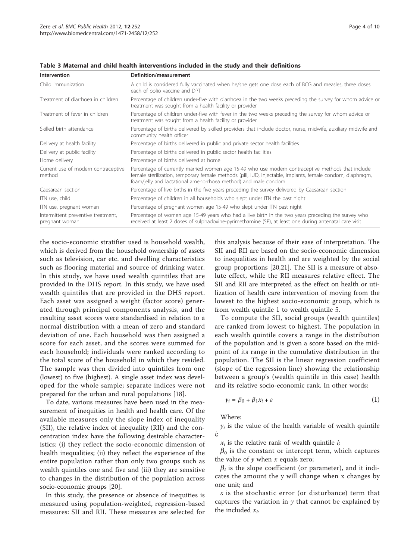| Intervention                                         | <b>Definition/measurement</b>                                                                                                                                                                                                                                                     |
|------------------------------------------------------|-----------------------------------------------------------------------------------------------------------------------------------------------------------------------------------------------------------------------------------------------------------------------------------|
| Child immunization                                   | A child is considered fully vaccinated when he/she gets one dose each of BCG and measles, three doses<br>each of polio vaccine and DPT                                                                                                                                            |
| Treatment of diarrhoea in children                   | Percentage of children under-five with diarrhoea in the two weeks preceding the survey for whom advice or<br>treatment was sought from a health facility or provider                                                                                                              |
| Treatment of fever in children                       | Percentage of children under-five with fever in the two weeks preceding the survey for whom advice or<br>treatment was sought from a health facility or provider                                                                                                                  |
| Skilled birth attendance                             | Percentage of births delivered by skilled providers that include doctor, nurse, midwife, auxiliary midwife and<br>community health officer                                                                                                                                        |
| Delivery at health facility                          | Percentage of births delivered in public and private sector health facilities                                                                                                                                                                                                     |
| Delivery at public facility                          | Percentage of births delivered in public sector health facilities                                                                                                                                                                                                                 |
| Home delivery                                        | Percentage of births delivered at home                                                                                                                                                                                                                                            |
| Current use of modern contraceptive<br>method        | Percentage of currently married women age 15-49 who use modern contraceptive methods that include<br>female sterilization, temporary female methods (pill, IUD, injectable, implants, female condom, diaphragm,<br>foam/jelly and lactational amenorrhoea method) and male condom |
| Caesarean section                                    | Percentage of live births in the five years preceding the survey delivered by Caesarean section                                                                                                                                                                                   |
| ITN use, child                                       | Percentage of children in all households who slept under ITN the past night                                                                                                                                                                                                       |
| ITN use, pregnant woman                              | Percentage of pregnant women age 15-49 who slept under ITN past night                                                                                                                                                                                                             |
| Intermittent preventive treatment,<br>pregnant woman | Percentage of women age 15-49 years who had a live birth in the two years preceding the survey who<br>received at least 2 doses of sulphadoxine-pyrimethamine (SP), at least one during antenatal care visit                                                                      |

<span id="page-3-0"></span>Table 3 Maternal and child health interventions included in the study and their definitions

the socio-economic stratifier used is household wealth, which is derived from the household ownership of assets such as television, car etc. and dwelling characteristics such as flooring material and source of drinking water. In this study, we have used wealth quintiles that are provided in the DHS report. In this study, we have used wealth quintiles that are provided in the DHS report. Each asset was assigned a weight (factor score) generated through principal components analysis, and the resulting asset scores were standardised in relation to a normal distribution with a mean of zero and standard deviation of one. Each household was then assigned a score for each asset, and the scores were summed for each household; individuals were ranked according to the total score of the household in which they resided. The sample was then divided into quintiles from one (lowest) to five (highest). A single asset index was developed for the whole sample; separate indices were not prepared for the urban and rural populations [[18\]](#page-9-0).

To date, various measures have been used in the measurement of inequities in health and health care. Of the available measures only the slope index of inequality (SII), the relative index of inequality (RII) and the concentration index have the following desirable characteristics: (i) they reflect the socio-economic dimension of health inequalities; (ii) they reflect the experience of the entire population rather than only two groups such as wealth quintiles one and five and (iii) they are sensitive to changes in the distribution of the population across socio-economic groups [[20\]](#page-9-0).

In this study, the presence or absence of inequities is measured using population-weighted, regression-based measures: SII and RII. These measures are selected for

this analysis because of their ease of interpretation. The SII and RII are based on the socio-economic dimension to inequalities in health and are weighted by the social group proportions [\[20,21\]](#page-9-0). The SII is a measure of absolute effect, while the RII measures relative effect. The SII and RII are interpreted as the effect on health or utilization of health care intervention of moving from the lowest to the highest socio-economic group, which is from wealth quintile 1 to wealth quintile 5.

To compute the SII, social groups (wealth quintiles) are ranked from lowest to highest. The population in each wealth quintile covers a range in the distribution of the population and is given a score based on the midpoint of its range in the cumulative distribution in the population. The SII is the linear regression coefficient (slope of the regression line) showing the relationship between a group's (wealth quintile in this case) health and its relative socio-economic rank. In other words:

$$
\gamma_i = \beta_0 + \beta_1 x_i + \varepsilon \tag{1}
$$

Where:

 $y_i$  is the value of the health variable of wealth quintile i;

 $x_i$  is the relative rank of wealth quintile  $i$ ;

 $\beta_0$  is the constant or intercept term, which captures the value of  $y$  when  $x$  equals zero;

 $\beta_i$  is the slope coefficient (or parameter), and it indicates the amount the y will change when x changes by one unit; and

 $\varepsilon$  is the stochastic error (or disturbance) term that captures the variation in  $\gamma$  that cannot be explained by the included  $x_i$ .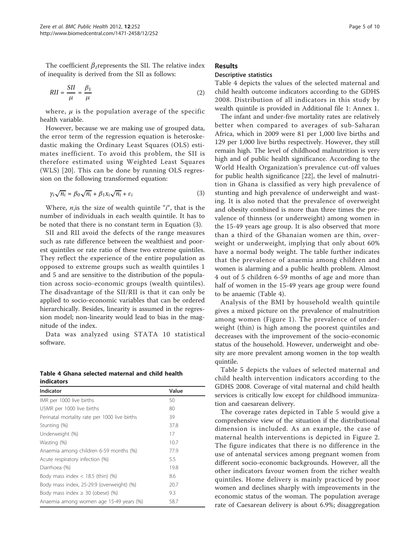The coefficient  $\beta_1$  represents the SII. The relative index of inequality is derived from the SII as follows:

$$
RII = \frac{SII}{\mu} = \frac{\beta_1}{\mu}
$$
 (2)

where,  $\mu$  is the population average of the specific health variable.

However, because we are making use of grouped data, the error term of the regression equation is heteroskedastic making the Ordinary Least Squares (OLS) estimates inefficient. To avoid this problem, the SII is therefore estimated using Weighted Least Squares (WLS) [[20](#page-9-0)]. This can be done by running OLS regression on the following transformed equation:

$$
\gamma_i \sqrt{n_i} = \beta_0 \sqrt{n_i} + \beta_1 x_i \sqrt{n_i} + \varepsilon_i \tag{3}
$$

Where,  $n_i$  is the size of wealth quintile "i", that is the number of individuals in each wealth quintile. It has to be noted that there is no constant term in Equation (3).

SII and RII avoid the defects of the range measures such as rate difference between the wealthiest and poorest quintiles or rate ratio of these two extreme quintiles. They reflect the experience of the entire population as opposed to extreme groups such as wealth quintiles 1 and 5 and are sensitive to the distribution of the population across socio-economic groups (wealth quintiles). The disadvantage of the SII/RII is that it can only be applied to socio-economic variables that can be ordered hierarchically. Besides, linearity is assumed in the regression model; non-linearity would lead to bias in the magnitude of the index.

Data was analyzed using STATA 10 statistical software.

Table 4 Ghana selected maternal and child health indicators

| Indicator                                     | Value |
|-----------------------------------------------|-------|
| IMR per 1000 live births                      | 50    |
| U5MR per 1000 live births                     | 80    |
| Perinatal mortality rate per 1000 live births | 39    |
| Stunting (%)                                  | 37.8  |
| Underweight (%)                               | 17    |
| Wasting (%)                                   | 10.7  |
| Anaemia among children 6-59 months (%)        | 77.9  |
| Acute respiratory infection (%)               | 5.5   |
| Diarrhoea (%)                                 | 19.8  |
| Body mass index $<$ 18.5 (thin) (%)           | 8.6   |
| Body mass index, 25-29.9 (overweight) (%)     | 20.7  |
| Body mass index $\geq$ 30 (obese) (%)         | 9.3   |
| Anaemia among women age 15-49 years (%)       | 58.7  |

## Results

## Descriptive statistics

Table 4 depicts the values of the selected maternal and child health outcome indicators according to the GDHS 2008. Distribution of all indicators in this study by wealth quintile is provided in Additional file [1](#page-8-0): Annex 1.

The infant and under-five mortality rates are relatively better when compared to averages of sub-Saharan Africa, which in 2009 were 81 per 1,000 live births and 129 per 1,000 live births respectively. However, they still remain high. The level of childhood malnutrition is very high and of public health significance. According to the World Health Organization's prevalence cut-off values for public health significance [\[22](#page-9-0)], the level of malnutrition in Ghana is classified as very high prevalence of stunting and high prevalence of underweight and wasting. It is also noted that the prevalence of overweight and obesity combined is more than three times the prevalence of thinness (or underweight) among women in the 15-49 years age group. It is also observed that more than a third of the Ghanaian women are thin, overweight or underweight, implying that only about 60% have a normal body weight. The table further indicates that the prevalence of anaemia among children and women is alarming and a public health problem. Almost 4 out of 5 children 6-59 months of age and more than half of women in the 15-49 years age group were found to be anaemic (Table 4).

Analysis of the BMI by household wealth quintile gives a mixed picture on the prevalence of malnutrition among women (Figure [1\)](#page-5-0). The prevalence of underweight (thin) is high among the poorest quintiles and decreases with the improvement of the socio-economic status of the household. However, underweight and obesity are more prevalent among women in the top wealth quintile.

Table [5](#page-5-0) depicts the values of selected maternal and child health intervention indicators according to the GDHS 2008. Coverage of vital maternal and child health services is critically low except for childhood immunization and caesarean delivery.

The coverage rates depicted in Table [5](#page-5-0) would give a comprehensive view of the situation if the distributional dimension is included. As an example, the case of maternal health interventions is depicted in Figure [2](#page-6-0). The figure indicates that there is no difference in the use of antenatal services among pregnant women from different socio-economic backgrounds. However, all the other indicators favour women from the richer wealth quintiles. Home delivery is mainly practiced by poor women and declines sharply with improvements in the economic status of the woman. The population average rate of Caesarean delivery is about 6.9%; disaggregation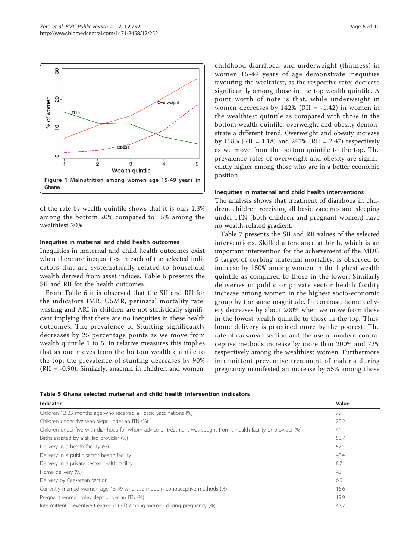<span id="page-5-0"></span>

of the rate by wealth quintile shows that it is only 1.3% among the bottom 20% compared to 15% among the wealthiest 20%.

#### Inequities in maternal and child health outcomes

Inequities in maternal and child health outcomes exist when there are inequalities in each of the selected indicators that are systematically related to household wealth derived from asset indices. Table [6](#page-6-0) presents the SII and RII for the health outcomes.

From Table [6](#page-6-0) it is observed that the SII and RII for the indicators IMR, U5MR, perinatal mortality rate, wasting and ARI in children are not statistically significant implying that there are no inequities in these health outcomes. The prevalence of Stunting significantly decreases by 25 percentage points as we move from wealth quintile 1 to 5. In relative measures this implies that as one moves from the bottom wealth quintile to the top, the prevalence of stunting decreases by 90% (RII = -0.90). Similarly, anaemia in children and women, childhood diarrhoea, and underweight (thinness) in women 15-49 years of age demonstrate inequities favouring the wealthiest, as the respective rates decrease significantly among those in the top wealth quintile. A point worth of note is that, while underweight in women decreases by  $142\%$  (RII = -1.42) in women in the wealthiest quintile as compared with those in the bottom wealth quintile, overweight and obesity demonstrate a different trend. Overweight and obesity increase by 118% (RII = 1.18) and 247% (RII = 2.47) respectively as we move from the bottom quintile to the top. The prevalence rates of overweight and obesity are significantly higher among those who are in a better economic position.

#### Inequities in maternal and child health interventions

The analysis shows that treatment of diarrhoea in children, children receiving all basic vaccines and sleeping under ITN (both children and pregnant women) have no wealth-related gradient.

Table [7](#page-7-0) presents the SII and RII values of the selected interventions. Skilled attendance at birth, which is an important intervention for the achievement of the MDG 5 target of curbing maternal mortality, is observed to increase by 150% among women in the highest wealth quintile as compared to those in the lower. Similarly deliveries in public or private sector health facility increase among women in the highest socio-economic group by the same magnitude. In contrast, home delivery decreases by about 200% when we move from those in the lowest wealth quintile to those in the top. Thus, home delivery is practiced more by the poorest. The rate of caesarean section and the use of modern contraceptive methods increase by more than 200% and 72% respectively among the wealthiest women. Furthermore intermittent preventive treatment of malaria during pregnancy manifested an increase by 55% among those

Table 5 Ghana selected maternal and child health intervention indicators

| Indicator                                                                                                         | Value |
|-------------------------------------------------------------------------------------------------------------------|-------|
| Children 12-23 months age who received all basic vaccinations (%)                                                 | 79    |
| Children under-five who slept under an ITN (%)                                                                    | 28.2  |
| Children under-five with diarrhoea for whom advice or treatment was sought from a health facility or provider (%) | 41    |
| Births assisted by a skilled provider (%)                                                                         | 58.7  |
| Delivery in a health facility (%)                                                                                 | 57.1  |
| Delivery in a public sector health facility                                                                       | 48.4  |
| Delivery in a private sector health facility                                                                      | 8.7   |
| Home delivery (%)                                                                                                 | 42    |
| Delivery by Caesarean section                                                                                     | 6.9   |
| Currently married women age 15-49 who use modern contraceptive methods (%)                                        | 16.6  |
| Pregnant women who slept under an ITN (%)                                                                         | 19.9  |
| Intermittent preventive treatment (IPT) among women during pregnancy (%)                                          | 43.7  |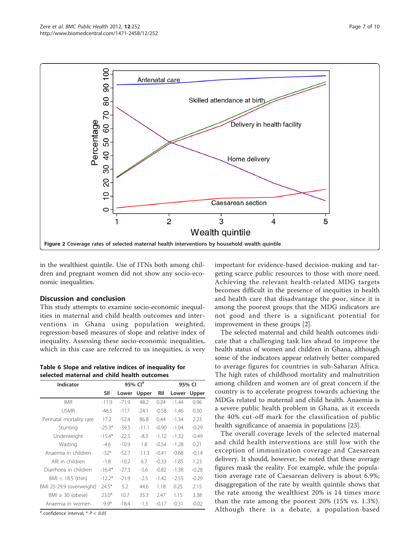<span id="page-6-0"></span>

in the wealthiest quintile. Use of ITNs both among children and pregnant women did not show any socio-economic inequalities.

## Discussion and conclusion

This study attempts to examine socio-economic inequalities in maternal and child health outcomes and interventions in Ghana using population weighted, regression-based measures of slope and relative index of inequality. Assessing these socio-economic inequalities, which in this case are referred to us inequities, is very

Table 6 Slope and relative indices of inequality for selected maternal and child health outcomes

| Indicator                | 95% CI <sup>#</sup> |         |         |         | 95% CI  |         |
|--------------------------|---------------------|---------|---------|---------|---------|---------|
|                          | SII                 | Lower   | Upper   | RII     | Lower   | Upper   |
| <b>IMR</b>               | $-11.9$             | $-71.9$ | 48.2    | 0.24    | $-1.44$ | 0.96    |
| U5MR                     | $-46.5$             | $-117$  | 24.1    | $-0.58$ | $-1.46$ | 0.30    |
| Perinatal mortality rate | 17.2                | $-52.4$ | 86.8    | 0.44    | $-1.34$ | 2.23    |
| Stunting                 | $-25.3*$            | $-39.5$ | $-11.1$ | $-0.90$ | $-1.04$ | $-0.29$ |
| Underweight              | $-15.4*$            | $-22.5$ | $-8.3$  | $-1.12$ | $-1.32$ | $-0.49$ |
| Wasting                  | $-4.6$              | $-10.9$ | 1.8     | $-0.54$ | $-1.28$ | 0.21    |
| Anaemia in children      | $-32*$              | $-52.7$ | $-11.3$ | $-0.41$ | $-0.68$ | $-0.14$ |
| ARI in children          | $-1.8$              | $-10.2$ | 6.7     | $-0.33$ | $-1.85$ | 1.23    |
| Diarrhoea in children    | $-16.4*$            | $-27.3$ | $-5.6$  | $-0.82$ | $-1.38$ | $-0.28$ |
| $BM < 18.5$ (thin)       | $-12.2*$            | $-21.9$ | $-2.5$  | $-1.42$ | $-2.55$ | $-0.29$ |
| BMI 25-29.9 (overweight) | $24.5*$             | 5.2     | 44.6    | 1.18    | 0.25    | 2.15    |
| $BMI \geq 30$ (obese)    | $23.0*$             | 10.7    | 35.3    | 2.47    | 1.15    | 3.38    |
| Anaemia in women         | $-9.9*$             | $-18.4$ | $-1.3$  | $-0.17$ | $-0.31$ | $-0.02$ |

 $*$  confidence interval:  $* P < 0.05$ 

important for evidence-based decision-making and targeting scarce public resources to those with more need. Achieving the relevant health-related MDG targets becomes difficult in the presence of inequities in health and health care that disadvantage the poor, since it is among the poorest groups that the MDG indicators are not good and there is a significant potential for improvement in these groups [[2\]](#page-8-0).

The selected maternal and child health outcomes indicate that a challenging task lies ahead to improve the health status of women and children in Ghana, although some of the indicators appear relatively better compared to average figures for countries in sub-Saharan Africa. The high rates of childhood mortality and malnutrition among children and women are of great concern if the country is to accelerate progress towards achieving the MDGs related to maternal and child health. Anaemia is a severe public health problem in Ghana, as it exceeds the 40% cut-off mark for the classification of public health significance of anaemia in populations [[23](#page-9-0)].

The overall coverage levels of the selected maternal and child health interventions are still low with the exception of immunization coverage and Caesarean delivery. It should, however, be noted that these average figures mask the reality. For example, while the population average rate of Caesarean delivery is about 6.9%; disaggregation of the rate by wealth quintile shows that the rate among the wealthiest 20% is 14 times more than the rate among the poorest 20% (15% vs. 1.3%). Although there is a debate, a population-based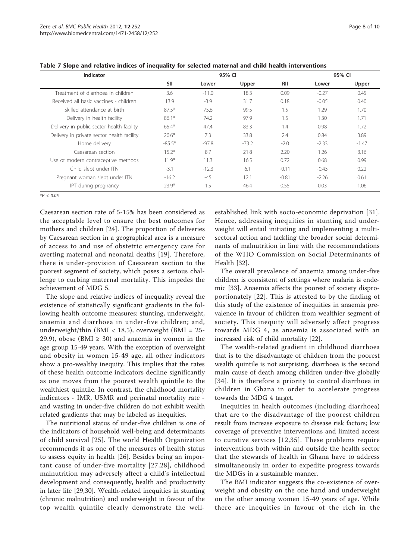| Page 8 of 10 |  |  |  |
|--------------|--|--|--|
|--------------|--|--|--|

| Indicator                                  | 95% CI     |         |         |         | 95% CI  |         |
|--------------------------------------------|------------|---------|---------|---------|---------|---------|
|                                            | <b>SII</b> | Lower   | Upper   | RII     | Lower   | Upper   |
| Treatment of diarrhoea in children         | 3.6        | $-11.0$ | 18.3    | 0.09    | $-0.27$ | 0.45    |
| Received all basic vaccines - children     | 13.9       | $-3.9$  | 31.7    | 0.18    | $-0.05$ | 0.40    |
| Skilled attendance at birth                | $87.5*$    | 75.6    | 99.5    | 1.5     | 1.29    | 1.70    |
| Delivery in health facility                | $86.1*$    | 74.2    | 97.9    | 1.5     | 1.30    | 1.71    |
| Delivery in public sector health facility  | $65.4*$    | 47.4    | 83.3    | 1.4     | 0.98    | 1.72    |
| Delivery in private sector health facility | $20.6*$    | 7.3     | 33.8    | 7.4     | 0.84    | 3.89    |
| Home delivery                              | $-85.5*$   | $-97.8$ | $-73.2$ | $-2.0$  | $-2.33$ | $-1.47$ |
| Caesarean section                          | $15.2*$    | 8.7     | 21.8    | 2.20    | 1.26    | 3.16    |
| Use of modern contraceptive methods        | $11.9*$    | 11.3    | 16.5    | 0.72    | 0.68    | 0.99    |
| Child slept under ITN                      | $-3.1$     | $-12.3$ | 6.1     | $-0.11$ | $-0.43$ | 0.22    |
| Pregnant woman slept under ITN             | $-16.2$    | $-45$   | 12.1    | $-0.81$ | $-2.26$ | 0.61    |
| IPT during pregnancy                       | $23.9*$    | 1.5     | 46.4    | 0.55    | 0.03    | 1.06    |

<span id="page-7-0"></span>Table 7 Slope and relative indices of inequality for selected maternal and child health interventions

 $*P < 0.05$ 

Caesarean section rate of 5-15% has been considered as the acceptable level to ensure the best outcomes for mothers and children [\[24](#page-9-0)]. The proportion of deliveries by Caesarean section in a geographical area is a measure of access to and use of obstetric emergency care for averting maternal and neonatal deaths [\[19\]](#page-9-0). Therefore, there is under-provision of Caesarean section to the poorest segment of society, which poses a serious challenge to curbing maternal mortality. This impedes the achievement of MDG 5.

The slope and relative indices of inequality reveal the existence of statistically significant gradients in the following health outcome measures: stunting, underweight, anaemia and diarrhoea in under-five children; and, underweight/thin (BMI < 18.5), overweight (BMI = 25- 29.9), obese (BMI  $\geq$  30) and anaemia in women in the age group 15-49 years. With the exception of overweight and obesity in women 15-49 age, all other indicators show a pro-wealthy inequity. This implies that the rates of these health outcome indicators decline significantly as one moves from the poorest wealth quintile to the wealthiest quintile. In contrast, the childhood mortality indicators - IMR, U5MR and perinatal mortality rate and wasting in under-five children do not exhibit wealth related gradients that may be labeled as inequities.

The nutritional status of under-five children is one of the indicators of household well-being and determinants of child survival [[25](#page-9-0)]. The world Health Organization recommends it as one of the measures of health status to assess equity in health [\[26](#page-9-0)]. Besides being an important cause of under-five mortality [[27,28](#page-9-0)], childhood malnutrition may adversely affect a child's intellectual development and consequently, health and productivity in later life [\[29,30](#page-9-0)]. Wealth-related inequities in stunting (chronic malnutrition) and underweight in favour of the top wealth quintile clearly demonstrate the well-

established link with socio-economic deprivation [[31](#page-9-0)]. Hence, addressing inequities in stunting and underweight will entail initiating and implementing a multisectoral action and tackling the broader social determinants of malnutrition in line with the recommendations of the WHO Commission on Social Determinants of Health [\[32](#page-9-0)].

The overall prevalence of anaemia among under-five children is consistent of settings where malaria is endemic [[33\]](#page-9-0). Anaemia affects the poorest of society disproportionately [[22](#page-9-0)]. This is attested to by the finding of this study of the existence of inequities in anaemia prevalence in favour of children from wealthier segment of society. This inequity will adversely affect progress towards MDG 4, as anaemia is associated with an increased risk of child mortality [[22\]](#page-9-0).

The wealth-related gradient in childhood diarrhoea that is to the disadvantage of children from the poorest wealth quintile is not surprising. diarrhoea is the second main cause of death among children under-five globally [[34\]](#page-9-0). It is therefore a priority to control diarrhoea in children in Ghana in order to accelerate progress towards the MDG 4 target.

Inequities in health outcomes (including diarrhoea) that are to the disadvantage of the poorest children result from increase exposure to disease risk factors; low coverage of preventive interventions and limited access to curative services [[12](#page-9-0),[35](#page-9-0)]. These problems require interventions both within and outside the health sector that the stewards of health in Ghana have to address simultaneously in order to expedite progress towards the MDGs in a sustainable manner.

The BMI indicator suggests the co-existence of overweight and obesity on the one hand and underweight on the other among women 15-49 years of age. While there are inequities in favour of the rich in the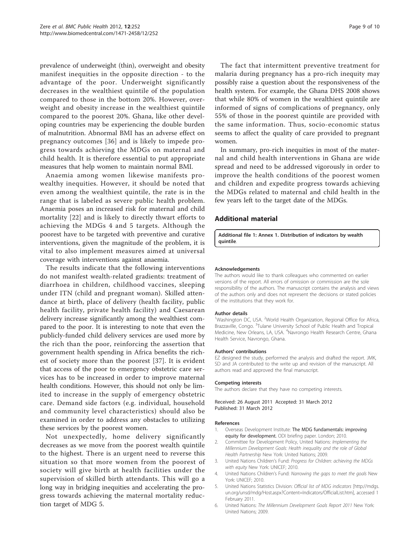<span id="page-8-0"></span>prevalence of underweight (thin), overweight and obesity manifest inequities in the opposite direction - to the advantage of the poor. Underweight significantly decreases in the wealthiest quintile of the population compared to those in the bottom 20%. However, overweight and obesity increase in the wealthiest quintile compared to the poorest 20%. Ghana, like other developing countries may be experiencing the double burden of malnutrition. Abnormal BMI has an adverse effect on pregnancy outcomes [\[36\]](#page-9-0) and is likely to impede progress towards achieving the MDGs on maternal and child health. It is therefore essential to put appropriate measures that help women to maintain normal BMI.

Anaemia among women likewise manifests prowealthy inequities. However, it should be noted that even among the wealthiest quintile, the rate is in the range that is labeled as severe public health problem. Anaemia poses an increased risk for maternal and child mortality [[22](#page-9-0)] and is likely to directly thwart efforts to achieving the MDGs 4 and 5 targets. Although the poorest have to be targeted with preventive and curative interventions, given the magnitude of the problem, it is vital to also implement measures aimed at universal coverage with interventions against anaemia.

The results indicate that the following interventions do not manifest wealth-related gradients: treatment of diarrhoea in children, childhood vaccines, sleeping under ITN (child and pregnant woman). Skilled attendance at birth, place of delivery (health facility, public health facility, private health facility) and Caesarean delivery increase significantly among the wealthiest compared to the poor. It is interesting to note that even the publicly-funded child delivery services are used more by the rich than the poor, reinforcing the assertion that government health spending in Africa benefits the richest of society more than the poorest [[37](#page-9-0)]. It is evident that access of the poor to emergency obstetric care services has to be increased in order to improve maternal health conditions. However, this should not only be limited to increase in the supply of emergency obstetric care. Demand side factors (e.g. individual, household and community level characteristics) should also be examined in order to address any obstacles to utilizing these services by the poorest women.

Not unexpectedly, home delivery significantly decreases as we move from the poorest wealth quintile to the highest. There is an urgent need to reverse this situation so that more women from the poorest of society will give birth at health facilities under the supervision of skilled birth attendants. This will go a long way in bridging inequities and accelerating the progress towards achieving the maternal mortality reduction target of MDG 5.

The fact that intermittent preventive treatment for malaria during pregnancy has a pro-rich inequity may possibly raise a question about the responsiveness of the health system. For example, the Ghana DHS 2008 shows that while 80% of women in the wealthiest quintile are informed of signs of complications of pregnancy, only 55% of those in the poorest quintile are provided with the same information. Thus, socio-economic status seems to affect the quality of care provided to pregnant women.

In summary, pro-rich inequities in most of the maternal and child health interventions in Ghana are wide spread and need to be addressed vigorously in order to improve the health conditions of the poorest women and children and expedite progress towards achieving the MDGs related to maternal and child health in the few years left to the target date of the MDGs.

### Additional material

[Additional file 1: A](http://www.biomedcentral.com/content/supplementary/1471-2458-12-252-S1.DOCX)nnex 1. Distribution of indicators by wealth quintile.

#### Acknowledgements

The authors would like to thank colleagues who commented on earlier versions of the report. All errors of omission or commission are the sole responsibility of the authors. The manuscript contains the analysis and views of the authors only and does not represent the decisions or stated policies of the institutions that they work for.

#### Author details

<sup>1</sup>Washington DC, USA. <sup>2</sup>World Health Organization, Regional Office for Africa Brazzaville, Congo. <sup>3</sup>Tulane University School of Public Health and Tropical Medicine, New Orleans, LA, USA. <sup>4</sup>Navrongo Health Research Centre, Ghana Health Service, Navrongo, Ghana.

#### Authors' contributions

EZ designed the study, performed the analysis and drafted the report. JMK, SD and JA contributed to the write up and revision of the manuscript. All authors read and approved the final manuscript.

#### Competing interests

The authors declare that they have no competing interests.

Received: 26 August 2011 Accepted: 31 March 2012 Published: 31 March 2012

#### References

- 1. Overseas Development Institute: The MDG fundamentals: improving equity for development. ODI briefing paper. London; 2010.
- 2. Committee for Development Policy, United Nations: Implementing the Millennium Development Goals: Health inequality and the role of Global Health Partnership New York: United Nations; 2009.
- 3. United Nations Children's Fund: Progress for Children: achieving the MDGs with equity New York: UNICFF: 2010.
- 4. United Nations Children's Fund: Narrowing the gaps to meet the goals New York: UNICEF; 2010.
- 5. United Nations Statistics Division: Official list of MDG indicators [[http://mdgs.](http://mdgs.un.org/unsd/mdg/Host.aspx?Content=Indicators/OfficialList.htm) [un.org/unsd/mdg/Host.aspx?Content=Indicators/OfficialList.htm](http://mdgs.un.org/unsd/mdg/Host.aspx?Content=Indicators/OfficialList.htm)], accessed 1 February 2011.
- 6. United Nations: The Millennium Development Goals Report 2011 New York: United Nations; 2009.